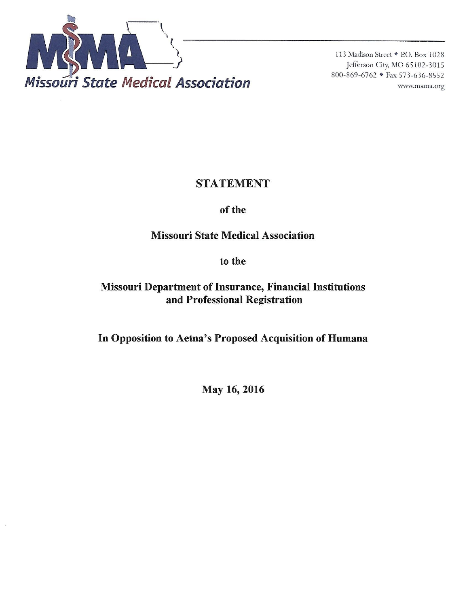

113 Madison Street • P.O. Box 1028 Jefferson City, MO 65102-3015 800-869-6762 • Fax 573-636-8552 www.msma.org

## **STATEMENT**

## of the

# **Missouri State Medical Association**

## to the

# **Missouri Department of Insurance, Financial Institutions** and Professional Registration

In Opposition to Aetna's Proposed Acquisition of Humana

May 16, 2016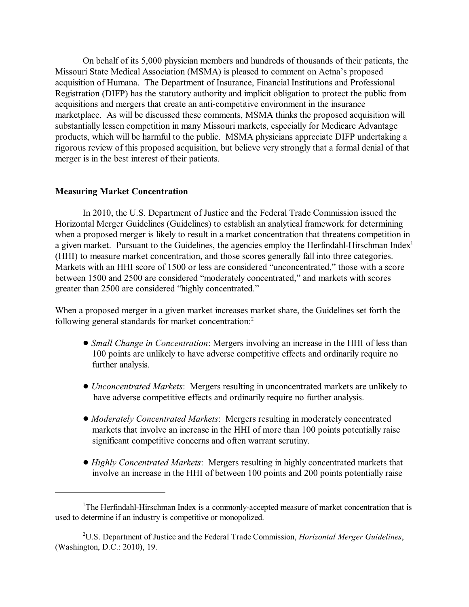On behalf of its 5,000 physician members and hundreds of thousands of their patients, the Missouri State Medical Association (MSMA) is pleased to comment on Aetna's proposed acquisition of Humana. The Department of Insurance, Financial Institutions and Professional Registration (DIFP) has the statutory authority and implicit obligation to protect the public from acquisitions and mergers that create an anti-competitive environment in the insurance marketplace. As will be discussed these comments, MSMA thinks the proposed acquisition will substantially lessen competition in many Missouri markets, especially for Medicare Advantage products, which will be harmful to the public. MSMA physicians appreciate DIFP undertaking a rigorous review of this proposed acquisition, but believe very strongly that a formal denial of that merger is in the best interest of their patients.

### **Measuring Market Concentration**

In 2010, the U.S. Department of Justice and the Federal Trade Commission issued the Horizontal Merger Guidelines (Guidelines) to establish an analytical framework for determining when a proposed merger is likely to result in a market concentration that threatens competition in a given market. Pursuant to the Guidelines, the agencies employ the Herfindahl-Hirschman Index<sup>1</sup> (HHI) to measure market concentration, and those scores generally fall into three categories. Markets with an HHI score of 1500 or less are considered "unconcentrated," those with a score between 1500 and 2500 are considered "moderately concentrated," and markets with scores greater than 2500 are considered "highly concentrated."

When a proposed merger in a given market increases market share, the Guidelines set forth the following general standards for market concentration:<sup>2</sup>

- ! *Small Change in Concentration*: Mergers involving an increase in the HHI of less than 100 points are unlikely to have adverse competitive effects and ordinarily require no further analysis.
- ! *Unconcentrated Markets*: Mergers resulting in unconcentrated markets are unlikely to have adverse competitive effects and ordinarily require no further analysis.
- ! *Moderately Concentrated Markets*: Mergers resulting in moderately concentrated markets that involve an increase in the HHI of more than 100 points potentially raise significant competitive concerns and often warrant scrutiny.
- ! *Highly Concentrated Markets*: Mergers resulting in highly concentrated markets that involve an increase in the HHI of between 100 points and 200 points potentially raise

<sup>&</sup>lt;sup>1</sup>The Herfindahl-Hirschman Index is a commonly-accepted measure of market concentration that is used to determine if an industry is competitive or monopolized.

U.S. Department of Justice and the Federal Trade Commission, *Horizontal Merger Guidelines*, 2 (Washington, D.C.: 2010), 19.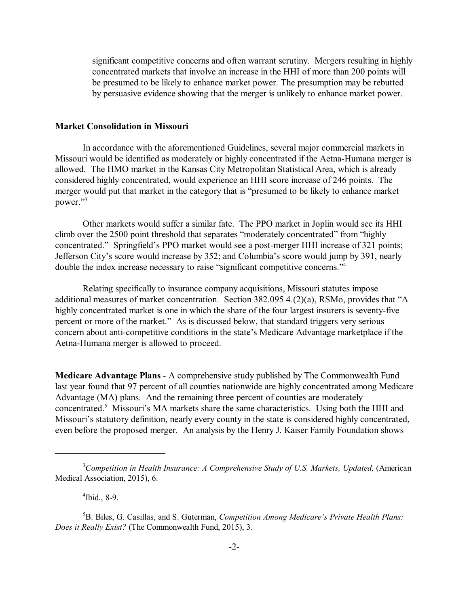significant competitive concerns and often warrant scrutiny. Mergers resulting in highly concentrated markets that involve an increase in the HHI of more than 200 points will be presumed to be likely to enhance market power. The presumption may be rebutted by persuasive evidence showing that the merger is unlikely to enhance market power.

#### **Market Consolidation in Missouri**

In accordance with the aforementioned Guidelines, several major commercial markets in Missouri would be identified as moderately or highly concentrated if the Aetna-Humana merger is allowed. The HMO market in the Kansas City Metropolitan Statistical Area, which is already considered highly concentrated, would experience an HHI score increase of 246 points. The merger would put that market in the category that is "presumed to be likely to enhance market power."<sup>3</sup>

Other markets would suffer a similar fate. The PPO market in Joplin would see its HHI climb over the 2500 point threshold that separates "moderately concentrated" from "highly concentrated." Springfield's PPO market would see a post-merger HHI increase of 321 points; Jefferson City's score would increase by 352; and Columbia's score would jump by 391, nearly double the index increase necessary to raise "significant competitive concerns."<sup>4</sup>

Relating specifically to insurance company acquisitions, Missouri statutes impose additional measures of market concentration. Section 382.095 4.(2)(a), RSMo, provides that "A highly concentrated market is one in which the share of the four largest insurers is seventy-five percent or more of the market." As is discussed below, that standard triggers very serious concern about anti-competitive conditions in the state's Medicare Advantage marketplace if the Aetna-Humana merger is allowed to proceed.

**Medicare Advantage Plans** - A comprehensive study published by The Commonwealth Fund last year found that 97 percent of all counties nationwide are highly concentrated among Medicare Advantage (MA) plans. And the remaining three percent of counties are moderately concentrated.<sup>5</sup> Missouri's MA markets share the same characteristics. Using both the HHI and Missouri's statutory definition, nearly every county in the state is considered highly concentrated, even before the proposed merger. An analysis by the Henry J. Kaiser Family Foundation shows

 $4$ Ibid., 8-9.

<sup>5</sup>B. Biles, G. Casillas, and S. Guterman, *Competition Among Medicare's Private Health Plans: Does it Really Exist?* (The Commonwealth Fund, 2015), 3.

<sup>&</sup>lt;sup>3</sup> Competition in Health Insurance: A Comprehensive Study of U.S. Markets, Updated, (American Medical Association, 2015), 6.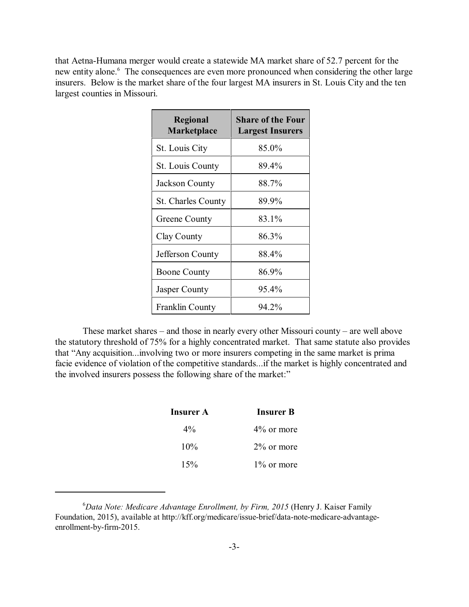that Aetna-Humana merger would create a statewide MA market share of 52.7 percent for the new entity alone.<sup>6</sup> The consequences are even more pronounced when considering the other large insurers. Below is the market share of the four largest MA insurers in St. Louis City and the ten largest counties in Missouri.

| <b>Regional</b><br><b>Marketplace</b> | <b>Share of the Four</b><br><b>Largest Insurers</b> |
|---------------------------------------|-----------------------------------------------------|
| St. Louis City                        | 85.0%                                               |
| <b>St. Louis County</b>               | 89.4%                                               |
| Jackson County                        | 88.7%                                               |
| <b>St. Charles County</b>             | 89.9%                                               |
| Greene County                         | 83.1%                                               |
| Clay County                           | 86.3%                                               |
| Jefferson County                      | 88.4%                                               |
| <b>Boone County</b>                   | 86.9%                                               |
| Jasper County                         | 95.4%                                               |
| Franklin County                       | 94.2%                                               |

These market shares – and those in nearly every other Missouri county – are well above the statutory threshold of 75% for a highly concentrated market. That same statute also provides that "Any acquisition...involving two or more insurers competing in the same market is prima facie evidence of violation of the competitive standards...if the market is highly concentrated and the involved insurers possess the following share of the market:"

| Insurer A | <b>Insurer B</b> |  |
|-----------|------------------|--|
| $4\%$     | $4\%$ or more    |  |
| $10\%$    | $2\%$ or more    |  |
| 15%       | $1\%$ or more    |  |

<sup>&</sup>lt;sup>6</sup>Data Note: Medicare Advantage Enrollment, by Firm, 2015 (Henry J. Kaiser Family Foundation, 2015), available at http://kff.org/medicare/issue-brief/data-note-medicare-advantageenrollment-by-firm-2015.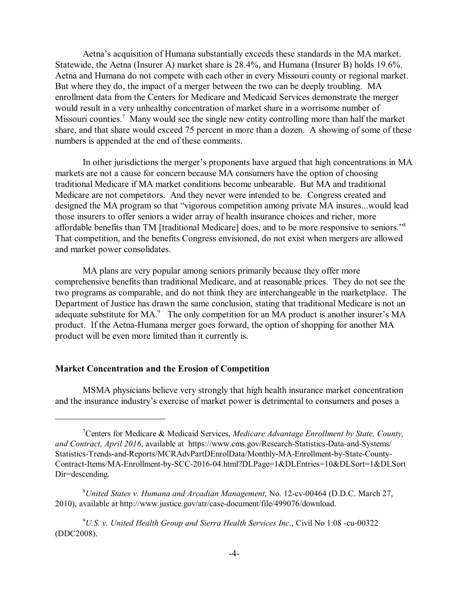Aetna's acquisition of Humana substantially exceeds these standards in the MA market. Statewide, the Aetna (Insurer A) market share is 28.4%, and Humana (Insurer B) holds 19.6%. Aetna and Humana do not compete with each other in every Missouri county or regional market. But where they do, the impact of a merger between the two can be deeply troubling. MA enrollment data from the Centers for Medicare and Medicaid Services demonstrate the merger would result in a very unhealthy concentration of market share in a worrisome number of Missouri counties.<sup>7</sup> Many would see the single new entity controlling more than half the market share, and that share would exceed 75 percent in more than a dozen. A showing of some of these numbers is appended at the end of these comments.

In other jurisdictions the merger's proponents have argued that high concentrations in MA markets are not a cause for concern because MA consumers have the option of choosing traditional Medicare if MA market conditions become unbearable. But MA and traditional Medicare are not competitors. And they never were intended to be. Congress created and designed the MA program so that "vigorous competition among private MA insures...would lead those insurers to offer seniors a wider array of health insurance choices and richer, more affordable benefits than TM [traditional Medicare] does, and to be more responsive to seniors."<sup>8</sup> That competition, and the benefits Congress envisioned, do not exist when mergers are allowed and market power consolidates.

MA plans are very popular among seniors primarily because they offer more comprehensive benefits than traditional Medicare, and at reasonable prices. They do not see the two programs as comparable, and do not think they are interchangeable in the marketplace. The Department of Justice has drawn the same conclusion, stating that traditional Medicare is not an adequate substitute for MA.<sup>9</sup> The only competition for an MA product is another insurer's MA product. If the Aetna-Humana merger goes forward, the option of shopping for another MA product will be even more limited than it currently is.

## **Market Concentration and the Erosion of Competition**

MSMA physicians believe very strongly that high health insurance market concentration and the insurance industry's exercise of market power is detrimental to consumers and poses a

<sup>8</sup> United States v. Humana and Arcadian Management, No. 12-cv-00464 (D.D.C. March 27, 2010), available at http://www.justice.gov/atr/case-document/file/499076/download.

<sup>9</sup>U.S. v. United Health Group and Sierra Health Services Inc., Civil No 1:08 -cu-00322 (DDC2008).

Centers for Medicare & Medicaid Services, *Medicare Advantage Enrollment by State, County,* <sup>7</sup> *and Contract, April 2016*, available at https://www.cms.gov/Research-Statistics-Data-and-Systems/ Statistics-Trends-and-Reports/MCRAdvPartDEnrolData/Monthly-MA-Enrollment-by-State-County-Contract-Items/MA-Enrollment-by-SCC-2016-04.html?DLPage=1&DLEntries=10&DLSort=1&DLSort Dir=descending.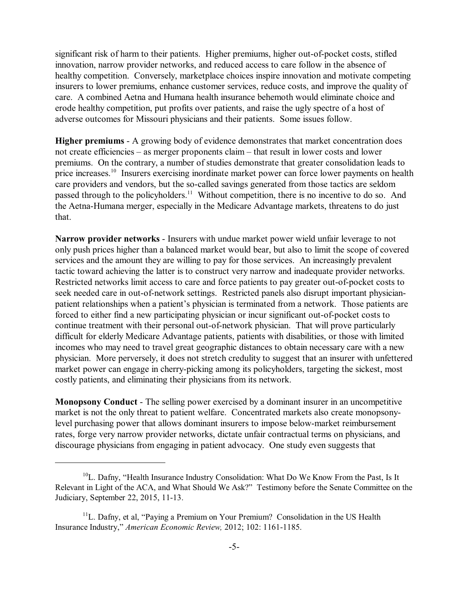significant risk of harm to their patients. Higher premiums, higher out-of-pocket costs, stifled innovation, narrow provider networks, and reduced access to care follow in the absence of healthy competition. Conversely, marketplace choices inspire innovation and motivate competing insurers to lower premiums, enhance customer services, reduce costs, and improve the quality of care. A combined Aetna and Humana health insurance behemoth would eliminate choice and erode healthy competition, put profits over patients, and raise the ugly spectre of a host of adverse outcomes for Missouri physicians and their patients. Some issues follow.

**Higher premiums** - A growing body of evidence demonstrates that market concentration does not create efficiencies – as merger proponents claim – that result in lower costs and lower premiums. On the contrary, a number of studies demonstrate that greater consolidation leads to price increases.<sup>10</sup> Insurers exercising inordinate market power can force lower payments on health care providers and vendors, but the so-called savings generated from those tactics are seldom passed through to the policyholders.<sup>11</sup> Without competition, there is no incentive to do so. And the Aetna-Humana merger, especially in the Medicare Advantage markets, threatens to do just that.

**Narrow provider networks** - Insurers with undue market power wield unfair leverage to not only push prices higher than a balanced market would bear, but also to limit the scope of covered services and the amount they are willing to pay for those services. An increasingly prevalent tactic toward achieving the latter is to construct very narrow and inadequate provider networks. Restricted networks limit access to care and force patients to pay greater out-of-pocket costs to seek needed care in out-of-network settings. Restricted panels also disrupt important physicianpatient relationships when a patient's physician is terminated from a network. Those patients are forced to either find a new participating physician or incur significant out-of-pocket costs to continue treatment with their personal out-of-network physician. That will prove particularly difficult for elderly Medicare Advantage patients, patients with disabilities, or those with limited incomes who may need to travel great geographic distances to obtain necessary care with a new physician. More perversely, it does not stretch credulity to suggest that an insurer with unfettered market power can engage in cherry-picking among its policyholders, targeting the sickest, most costly patients, and eliminating their physicians from its network.

**Monopsony Conduct** - The selling power exercised by a dominant insurer in an uncompetitive market is not the only threat to patient welfare. Concentrated markets also create monopsonylevel purchasing power that allows dominant insurers to impose below-market reimbursement rates, forge very narrow provider networks, dictate unfair contractual terms on physicians, and discourage physicians from engaging in patient advocacy. One study even suggests that

 $^{10}$ L. Dafny, "Health Insurance Industry Consolidation: What Do We Know From the Past, Is It Relevant in Light of the ACA, and What Should We Ask?" Testimony before the Senate Committee on the Judiciary, September 22, 2015, 11-13.

 $11$ L. Dafny, et al, "Paying a Premium on Your Premium? Consolidation in the US Health Insurance Industry," *American Economic Review,* 2012; 102: 1161-1185.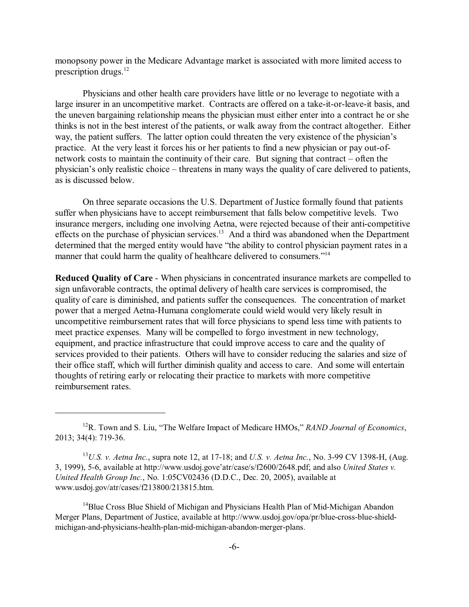monopsony power in the Medicare Advantage market is associated with more limited access to prescription drugs.<sup>12</sup>

Physicians and other health care providers have little or no leverage to negotiate with a large insurer in an uncompetitive market. Contracts are offered on a take-it-or-leave-it basis, and the uneven bargaining relationship means the physician must either enter into a contract he or she thinks is not in the best interest of the patients, or walk away from the contract altogether. Either way, the patient suffers. The latter option could threaten the very existence of the physician's practice. At the very least it forces his or her patients to find a new physician or pay out-ofnetwork costs to maintain the continuity of their care. But signing that contract – often the physician's only realistic choice – threatens in many ways the quality of care delivered to patients, as is discussed below.

On three separate occasions the U.S. Department of Justice formally found that patients suffer when physicians have to accept reimbursement that falls below competitive levels. Two insurance mergers, including one involving Aetna, were rejected because of their anti-competitive effects on the purchase of physician services.<sup>13</sup> And a third was abandoned when the Department determined that the merged entity would have "the ability to control physician payment rates in a manner that could harm the quality of healthcare delivered to consumers."<sup>14</sup>

**Reduced Quality of Care** - When physicians in concentrated insurance markets are compelled to sign unfavorable contracts, the optimal delivery of health care services is compromised, the quality of care is diminished, and patients suffer the consequences. The concentration of market power that a merged Aetna-Humana conglomerate could wield would very likely result in uncompetitive reimbursement rates that will force physicians to spend less time with patients to meet practice expenses. Many will be compelled to forgo investment in new technology, equipment, and practice infrastructure that could improve access to care and the quality of services provided to their patients. Others will have to consider reducing the salaries and size of their office staff, which will further diminish quality and access to care. And some will entertain thoughts of retiring early or relocating their practice to markets with more competitive reimbursement rates.

<sup>&</sup>lt;sup>12</sup>R. Town and S. Liu, "The Welfare Impact of Medicare HMOs," *RAND Journal of Economics*, 2013; 34(4): 719-36.

<sup>&</sup>lt;sup>13</sup>U.S. *v. Aetna Inc.*, supra note 12, at 17-18; and U.S. *v. Aetna Inc.*, No. 3-99 CV 1398-H, (Aug. 3, 1999), 5-6, available at http://www.usdoj.gove'atr/case/s/f2600/2648.pdf; and also *United States v. United Health Group Inc.*, No. 1:05CV02436 (D.D.C., Dec. 20, 2005), available at www.usdoj.gov/atr/cases/f213800/213815.htm.

 $14$ Blue Cross Blue Shield of Michigan and Physicians Health Plan of Mid-Michigan Abandon Merger Plans, Department of Justice, available at http://www.usdoj.gov/opa/pr/blue-cross-blue-shieldmichigan-and-physicians-health-plan-mid-michigan-abandon-merger-plans.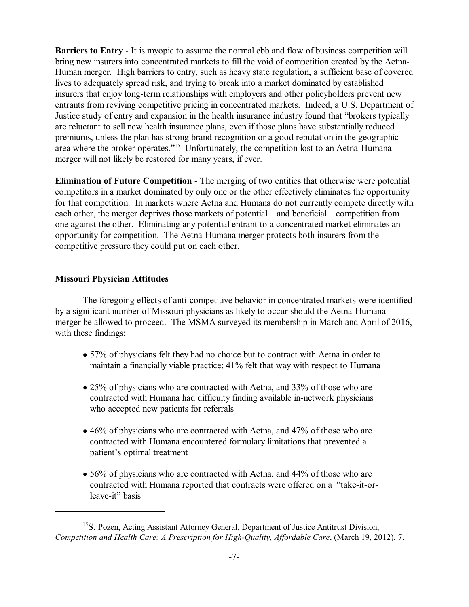**Barriers to Entry** - It is myopic to assume the normal ebb and flow of business competition will bring new insurers into concentrated markets to fill the void of competition created by the Aetna-Human merger. High barriers to entry, such as heavy state regulation, a sufficient base of covered lives to adequately spread risk, and trying to break into a market dominated by established insurers that enjoy long-term relationships with employers and other policyholders prevent new entrants from reviving competitive pricing in concentrated markets. Indeed, a U.S. Department of Justice study of entry and expansion in the health insurance industry found that "brokers typically are reluctant to sell new health insurance plans, even if those plans have substantially reduced premiums, unless the plan has strong brand recognition or a good reputation in the geographic area where the broker operates."<sup>15</sup> Unfortunately, the competition lost to an Aetna-Humana merger will not likely be restored for many years, if ever.

**Elimination of Future Competition** - The merging of two entities that otherwise were potential competitors in a market dominated by only one or the other effectively eliminates the opportunity for that competition. In markets where Aetna and Humana do not currently compete directly with each other, the merger deprives those markets of potential – and beneficial – competition from one against the other. Eliminating any potential entrant to a concentrated market eliminates an opportunity for competition. The Aetna-Humana merger protects both insurers from the competitive pressure they could put on each other.

## **Missouri Physician Attitudes**

The foregoing effects of anti-competitive behavior in concentrated markets were identified by a significant number of Missouri physicians as likely to occur should the Aetna-Humana merger be allowed to proceed. The MSMA surveyed its membership in March and April of 2016, with these findings:

- ! 57% of physicians felt they had no choice but to contract with Aetna in order to maintain a financially viable practice; 41% felt that way with respect to Humana
- 25% of physicians who are contracted with Aetna, and 33% of those who are contracted with Humana had difficulty finding available in-network physicians who accepted new patients for referrals
- 46% of physicians who are contracted with Aetna, and 47% of those who are contracted with Humana encountered formulary limitations that prevented a patient's optimal treatment
- 56% of physicians who are contracted with Aetna, and 44% of those who are contracted with Humana reported that contracts were offered on a "take-it-or leave-it" basis

<sup>&</sup>lt;sup>15</sup>S. Pozen, Acting Assistant Attorney General, Department of Justice Antitrust Division, *Competition and Health Care: A Prescription for High-Quality, Affordable Care*, (March 19, 2012), 7.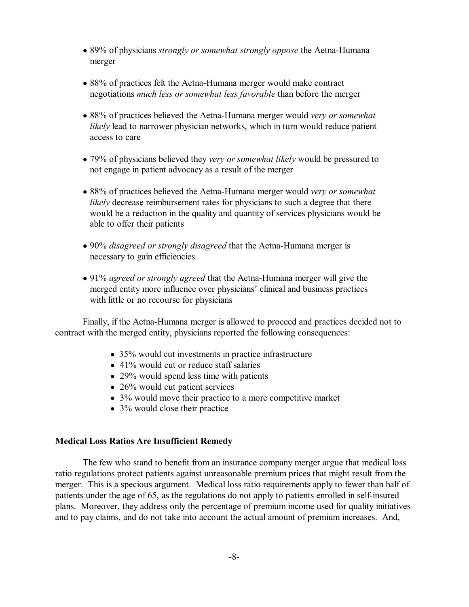- ! 89% of physicians *strongly or somewhat strongly oppose* the Aetna-Humana merger
- 88% of practices felt the Aetna-Humana merger would make contract negotiations *much less or somewhat less favorable* than before the merger
- ! 88% of practices believed the Aetna-Humana merger would *very or somewhat likely* lead to narrower physician networks, which in turn would reduce patient access to care
- ! 79% of physicians believed they *very or somewhat likely* would be pressured to not engage in patient advocacy as a result of the merger
- ! 88% of practices believed the Aetna-Humana merger would *very or somewhat likely* decrease reimbursement rates for physicians to such a degree that there would be a reduction in the quality and quantity of services physicians would be able to offer their patients
- ! 90% *disagreed or strongly disagreed* that the Aetna-Humana merger is necessary to gain efficiencies
- ! 91% *agreed or strongly agreed* that the Aetna-Humana merger will give the merged entity more influence over physicians' clinical and business practices with little or no recourse for physicians

Finally, if the Aetna-Humana merger is allowed to proceed and practices decided not to contract with the merged entity, physicians reported the following consequences:

- 35% would cut investments in practice infrastructure
- $\bullet$  41% would cut or reduce staff salaries
- 29% would spend less time with patients
- $\bullet$  26% would cut patient services
- 3% would move their practice to a more competitive market
- $\bullet$  3% would close their practice

### **Medical Loss Ratios Are Insufficient Remedy**

The few who stand to benefit from an insurance company merger argue that medical loss ratio regulations protect patients against unreasonable premium prices that might result from the merger. This is a specious argument. Medical loss ratio requirements apply to fewer than half of patients under the age of 65, as the regulations do not apply to patients enrolled in self-insured plans. Moreover, they address only the percentage of premium income used for quality initiatives and to pay claims, and do not take into account the actual amount of premium increases. And,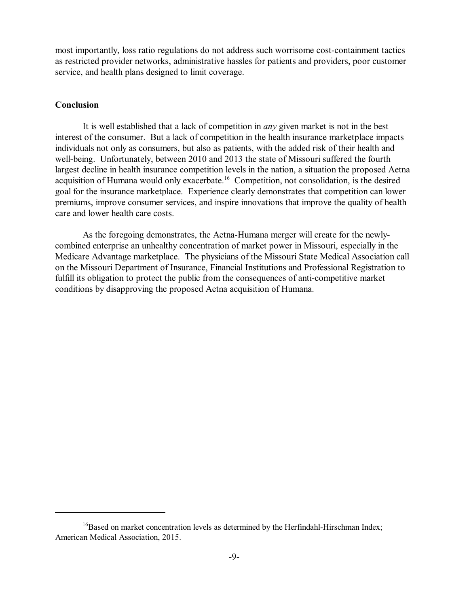most importantly, loss ratio regulations do not address such worrisome cost-containment tactics as restricted provider networks, administrative hassles for patients and providers, poor customer service, and health plans designed to limit coverage.

## **Conclusion**

It is well established that a lack of competition in *any* given market is not in the best interest of the consumer. But a lack of competition in the health insurance marketplace impacts individuals not only as consumers, but also as patients, with the added risk of their health and well-being. Unfortunately, between 2010 and 2013 the state of Missouri suffered the fourth largest decline in health insurance competition levels in the nation, a situation the proposed Aetna acquisition of Humana would only exacerbate.<sup>16</sup> Competition, not consolidation, is the desired goal for the insurance marketplace. Experience clearly demonstrates that competition can lower premiums, improve consumer services, and inspire innovations that improve the quality of health care and lower health care costs.

As the foregoing demonstrates, the Aetna-Humana merger will create for the newlycombined enterprise an unhealthy concentration of market power in Missouri, especially in the Medicare Advantage marketplace. The physicians of the Missouri State Medical Association call on the Missouri Department of Insurance, Financial Institutions and Professional Registration to fulfill its obligation to protect the public from the consequences of anti-competitive market conditions by disapproving the proposed Aetna acquisition of Humana.

 $16$ Based on market concentration levels as determined by the Herfindahl-Hirschman Index; American Medical Association, 2015.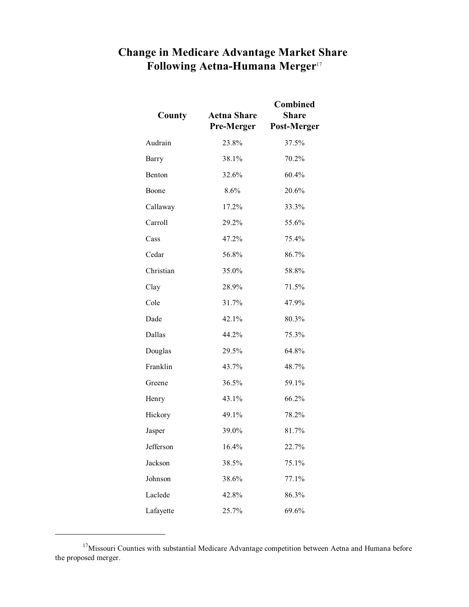# **Change in Medicare Advantage Market Share Following Aetna-Humana Merger**<sup>17</sup>

| County    | <b>Aetna Share</b><br><b>Pre-Merger</b> | <b>Combined</b><br><b>Share</b><br>Post-Merger |
|-----------|-----------------------------------------|------------------------------------------------|
| Audrain   | 23.8%                                   | 37.5%                                          |
| Barry     | 38.1%                                   | 70.2%                                          |
| Benton    | 32.6%                                   | 60.4%                                          |
| Boone     | 8.6%                                    | 20.6%                                          |
| Callaway  | 17.2%                                   | 33.3%                                          |
| Carroll   | 29.2%                                   | 55.6%                                          |
| Cass      | 47.2%                                   | 75.4%                                          |
| Cedar     | 56.8%                                   | 86.7%                                          |
| Christian | 35.0%                                   | 58.8%                                          |
| Clay      | 28.9%                                   | 71.5%                                          |
| Cole      | 31.7%                                   | 47.9%                                          |
| Dade      | 42.1%                                   | 80.3%                                          |
| Dallas    | 44.2%                                   | 75.3%                                          |
| Douglas   | 29.5%                                   | 64.8%                                          |
| Franklin  | 43.7%                                   | 48.7%                                          |
| Greene    | 36.5%                                   | 59.1%                                          |
| Henry     | 43.1%                                   | 66.2%                                          |
| Hickory   | 49.1%                                   | 78.2%                                          |
| Jasper    | 39.0%                                   | 81.7%                                          |
| Jefferson | 16.4%                                   | 22.7%                                          |
| Jackson   | 38.5%                                   | 75.1%                                          |
| Johnson   | 38.6%                                   | 77.1%                                          |
| Laclede   | 42.8%                                   | 86.3%                                          |
| Lafayette | 25.7%                                   | 69.6%                                          |

<sup>&</sup>lt;sup>17</sup>Missouri Counties with substantial Medicare Advantage competition between Aetna and Humana before the proposed merger.